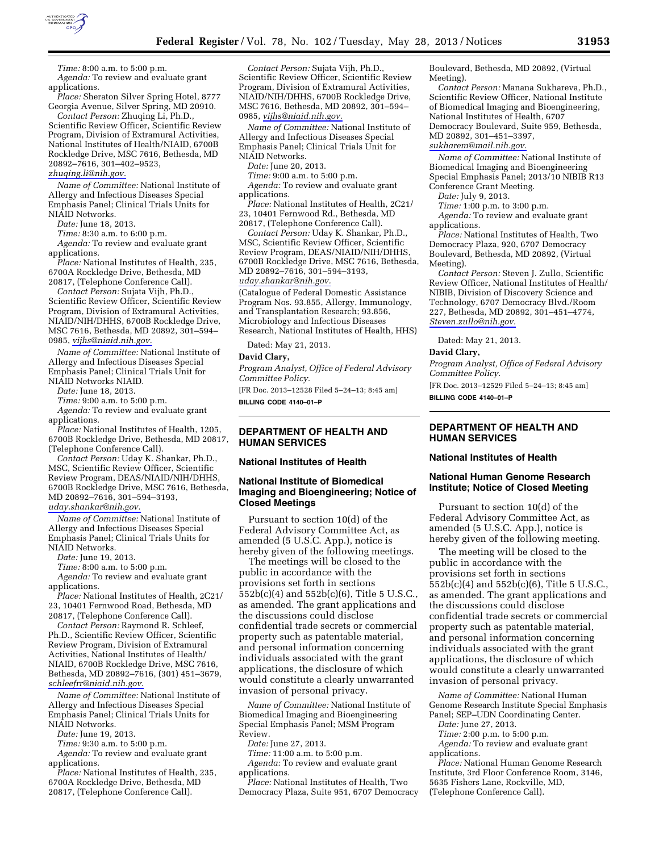

*Time:* 8:00 a.m. to 5:00 p.m. *Agenda:* To review and evaluate grant applications.

*Place:* Sheraton Silver Spring Hotel, 8777 Georgia Avenue, Silver Spring, MD 20910. *Contact Person:* Zhuqing Li, Ph.D.,

Scientific Review Officer, Scientific Review Program, Division of Extramural Activities, National Institutes of Health/NIAID, 6700B Rockledge Drive, MSC 7616, Bethesda, MD 20892–7616, 301–402–9523,

*[zhuqing.li@nih.gov.](mailto:zhuqing.li@nih.gov)* 

*Name of Committee:* National Institute of Allergy and Infectious Diseases Special Emphasis Panel; Clinical Trials Units for NIAID Networks.

*Date:* June 18, 2013.

*Time:* 8:30 a.m. to 6:00 p.m.

*Agenda:* To review and evaluate grant applications.

*Place:* National Institutes of Health, 235, 6700A Rockledge Drive, Bethesda, MD 20817, (Telephone Conference Call).

*Contact Person:* Sujata Vijh, Ph.D., Scientific Review Officer, Scientific Review Program, Division of Extramural Activities, NIAID/NIH/DHHS, 6700B Rockledge Drive, MSC 7616, Bethesda, MD 20892, 301–594– 0985, *[vijhs@niaid.nih.gov.](mailto:vijhs@niaid.nih.gov)* 

*Name of Committee:* National Institute of Allergy and Infectious Diseases Special Emphasis Panel; Clinical Trials Unit for NIAID Networks NIAID.

*Date:* June 18, 2013.

*Time:* 9:00 a.m. to 5:00 p.m.

*Agenda:* To review and evaluate grant applications.

*Place:* National Institutes of Health, 1205, 6700B Rockledge Drive, Bethesda, MD 20817, (Telephone Conference Call).

*Contact Person:* Uday K. Shankar, Ph.D., MSC, Scientific Review Officer, Scientific Review Program, DEAS/NIAID/NIH/DHHS, 6700B Rockledge Drive, MSC 7616, Bethesda, MD 20892–7616, 301–594–3193, *[uday.shankar@nih.gov.](mailto:uday.shankar@nih.gov)* 

*Name of Committee:* National Institute of Allergy and Infectious Diseases Special Emphasis Panel; Clinical Trials Units for NIAID Networks.

*Date:* June 19, 2013.

*Time:* 8:00 a.m. to 5:00 p.m.

*Agenda:* To review and evaluate grant applications.

*Place:* National Institutes of Health, 2C21/ 23, 10401 Fernwood Road, Bethesda, MD 20817, (Telephone Conference Call).

*Contact Person:* Raymond R. Schleef, Ph.D., Scientific Review Officer, Scientific Review Program, Division of Extramural Activities, National Institutes of Health/ NIAID, 6700B Rockledge Drive, MSC 7616, Bethesda, MD 20892–7616, (301) 451–3679, *[schleefrr@niaid.nih.gov.](mailto:schleefrr@niaid.nih.gov)* 

*Name of Committee:* National Institute of Allergy and Infectious Diseases Special Emphasis Panel; Clinical Trials Units for NIAID Networks.

*Date:* June 19, 2013.

*Time:* 9:30 a.m. to 5:00 p.m.

*Agenda:* To review and evaluate grant applications.

*Place:* National Institutes of Health, 235, 6700A Rockledge Drive, Bethesda, MD 20817, (Telephone Conference Call).

*Contact Person:* Sujata Vijh, Ph.D., Scientific Review Officer, Scientific Review Program, Division of Extramural Activities, NIAID/NIH/DHHS, 6700B Rockledge Drive, MSC 7616, Bethesda, MD 20892, 301–594– 0985, *[vijhs@niaid.nih.gov.](mailto:vijhs@niaid.nih.gov)* 

*Name of Committee:* National Institute of Allergy and Infectious Diseases Special Emphasis Panel; Clinical Trials Unit for NIAID Networks.

*Date:* June 20, 2013.

*Time:* 9:00 a.m. to 5:00 p.m.

*Agenda:* To review and evaluate grant applications.

*Place:* National Institutes of Health, 2C21/ 23, 10401 Fernwood Rd., Bethesda, MD 20817, (Telephone Conference Call).

*Contact Person:* Uday K. Shankar, Ph.D., MSC, Scientific Review Officer, Scientific Review Program, DEAS/NIAID/NIH/DHHS, 6700B Rockledge Drive, MSC 7616, Bethesda, MD 20892–7616, 301–594–3193, *[uday.shankar@nih.gov.](mailto:uday.shankar@nih.gov)* 

(Catalogue of Federal Domestic Assistance Program Nos. 93.855, Allergy, Immunology, and Transplantation Research; 93.856, Microbiology and Infectious Diseases Research, National Institutes of Health, HHS)

Dated: May 21, 2013.

### **David Clary,**

*Program Analyst, Office of Federal Advisory Committee Policy.* 

[FR Doc. 2013–12528 Filed 5–24–13; 8:45 am] **BILLING CODE 4140–01–P** 

**DEPARTMENT OF HEALTH AND HUMAN SERVICES** 

#### **National Institutes of Health**

# **National Institute of Biomedical Imaging and Bioengineering; Notice of Closed Meetings**

Pursuant to section 10(d) of the Federal Advisory Committee Act, as amended (5 U.S.C. App.), notice is hereby given of the following meetings.

The meetings will be closed to the public in accordance with the provisions set forth in sections 552b(c)(4) and 552b(c)(6), Title 5 U.S.C., as amended. The grant applications and the discussions could disclose confidential trade secrets or commercial property such as patentable material, and personal information concerning individuals associated with the grant applications, the disclosure of which would constitute a clearly unwarranted invasion of personal privacy.

*Name of Committee:* National Institute of Biomedical Imaging and Bioengineering Special Emphasis Panel; MSM Program Review.

*Date:* June 27, 2013. *Time:* 11:00 a.m. to 5:00 p.m.

*Agenda:* To review and evaluate grant applications.

*Place:* National Institutes of Health, Two Democracy Plaza, Suite 951, 6707 Democracy

Boulevard, Bethesda, MD 20892, (Virtual Meeting).

*Contact Person:* Manana Sukhareva, Ph.D., Scientific Review Officer, National Institute of Biomedical Imaging and Bioengineering, National Institutes of Health, 6707 Democracy Boulevard, Suite 959, Bethesda, MD 20892, 301–451–3397,

*[sukharem@mail.nih.gov.](mailto:sukharem@mail.nih.gov)* 

*Name of Committee:* National Institute of Biomedical Imaging and Bioengineering Special Emphasis Panel; 2013/10 NIBIB R13 Conference Grant Meeting.

*Date:* July 9, 2013.

*Time:* 1:00 p.m. to 3:00 p.m.

*Agenda:* To review and evaluate grant applications.

*Place:* National Institutes of Health, Two Democracy Plaza, 920, 6707 Democracy Boulevard, Bethesda, MD 20892, (Virtual Meeting).

*Contact Person:* Steven J. Zullo, Scientific Review Officer, National Institutes of Health/ NIBIB, Division of Discovery Science and Technology, 6707 Democracy Blvd./Room 227, Bethesda, MD 20892, 301–451–4774, *[Steven.zullo@nih.gov.](mailto:Steven.zullo@nih.gov)* 

Dated: May 21, 2013.

#### **David Clary,**

*Program Analyst, Office of Federal Advisory Committee Policy.* 

[FR Doc. 2013–12529 Filed 5–24–13; 8:45 am] **BILLING CODE 4140–01–P** 

# **DEPARTMENT OF HEALTH AND HUMAN SERVICES**

### **National Institutes of Health**

## **National Human Genome Research Institute; Notice of Closed Meeting**

Pursuant to section 10(d) of the Federal Advisory Committee Act, as amended (5 U.S.C. App.), notice is hereby given of the following meeting.

The meeting will be closed to the public in accordance with the provisions set forth in sections 552b(c)(4) and 552b(c)(6), Title 5 U.S.C., as amended. The grant applications and the discussions could disclose confidential trade secrets or commercial property such as patentable material, and personal information concerning individuals associated with the grant applications, the disclosure of which would constitute a clearly unwarranted invasion of personal privacy.

*Name of Committee:* National Human Genome Research Institute Special Emphasis Panel; SEP–UDN Coordinating Center.

*Date:* June 27, 2013.

*Time:* 2:00 p.m. to 5:00 p.m.

*Agenda:* To review and evaluate grant applications.

*Place:* National Human Genome Research Institute, 3rd Floor Conference Room, 3146, 5635 Fishers Lane, Rockville, MD, (Telephone Conference Call).